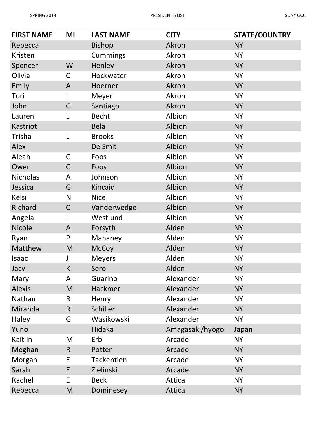| <b>FIRST NAME</b> | MI           | <b>LAST NAME</b>  | <b>CITY</b>     | <b>STATE/COUNTRY</b> |
|-------------------|--------------|-------------------|-----------------|----------------------|
| Rebecca           |              | <b>Bishop</b>     | Akron           | <b>NY</b>            |
| Kristen           |              | <b>Cummings</b>   | Akron           | <b>NY</b>            |
| Spencer           | W            | Henley            | Akron           | <b>NY</b>            |
| Olivia            | $\mathsf{C}$ | Hockwater         | Akron           | <b>NY</b>            |
| Emily             | A            | Hoerner           | Akron           | <b>NY</b>            |
| Tori              | L            | Meyer             | Akron           | <b>NY</b>            |
| John              | G            | Santiago          | Akron           | <b>NY</b>            |
| Lauren            | L            | <b>Becht</b>      | Albion          | <b>NY</b>            |
| Kastriot          |              | <b>Bela</b>       | Albion          | <b>NY</b>            |
| Trisha            | L            | <b>Brooks</b>     | Albion          | <b>NY</b>            |
| Alex              |              | De Smit           | Albion          | <b>NY</b>            |
| Aleah             | $\mathsf C$  | Foos              | Albion          | <b>NY</b>            |
| Owen              | $\mathsf C$  | Foos              | Albion          | <b>NY</b>            |
| <b>Nicholas</b>   | A            | Johnson           | Albion          | <b>NY</b>            |
| Jessica           | G            | Kincaid           | Albion          | <b>NY</b>            |
| Kelsi             | N            | <b>Nice</b>       | Albion          | <b>NY</b>            |
| Richard           | $\mathsf C$  | Vanderwedge       | Albion          | <b>NY</b>            |
| Angela            | L            | Westlund          | Albion          | <b>NY</b>            |
| Nicole            | A            | Forsyth           | Alden           | <b>NY</b>            |
| Ryan              | P            | Mahaney           | Alden           | <b>NY</b>            |
| Matthew           | M            | <b>McCoy</b>      | Alden           | <b>NY</b>            |
| Isaac             | J            | <b>Meyers</b>     | Alden           | <b>NY</b>            |
| Jacy              | K            | Sero              | Alden           | <b>NY</b>            |
| Mary              | A            | Guarino           | Alexander       | <b>NY</b>            |
| <b>Alexis</b>     | M            | <b>Hackmer</b>    | Alexander       | <b>NY</b>            |
| Nathan            | R            | Henry             | Alexander       | <b>NY</b>            |
| Miranda           | $\mathsf{R}$ | Schiller          | Alexander       | <b>NY</b>            |
| Haley             | G            | Wasikowski        | Alexander       | <b>NY</b>            |
| Yuno              |              | Hidaka            | Amagasaki/hyogo | Japan                |
| Kaitlin           | M            | Erb               | Arcade          | <b>NY</b>            |
| Meghan            | $\mathsf{R}$ | Potter            | Arcade          | <b>NY</b>            |
| Morgan            | E            | <b>Tackentien</b> | Arcade          | <b>NY</b>            |
| Sarah             | E            | Zielinski         | Arcade          | <b>NY</b>            |
| Rachel            | E            | <b>Beck</b>       | Attica          | <b>NY</b>            |
| Rebecca           | M            | Dominesey         | Attica          | <b>NY</b>            |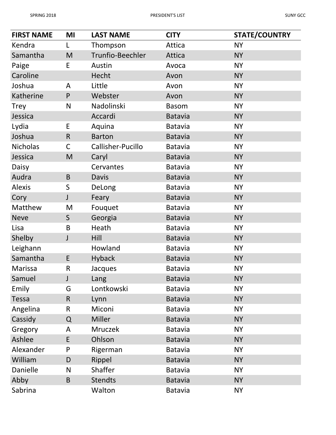| <b>FIRST NAME</b> | MI           | <b>LAST NAME</b>  | <b>CITY</b>    | <b>STATE/COUNTRY</b> |
|-------------------|--------------|-------------------|----------------|----------------------|
| Kendra            |              | Thompson          | Attica         | <b>NY</b>            |
| Samantha          | M            | Trunfio-Beechler  | Attica         | <b>NY</b>            |
| Paige             | E            | Austin            | Avoca          | <b>NY</b>            |
| Caroline          |              | Hecht             | Avon           | <b>NY</b>            |
| Joshua            | A            | Little            | Avon           | <b>NY</b>            |
| Katherine         | $\mathsf{P}$ | Webster           | Avon           | <b>NY</b>            |
| <b>Trey</b>       | N            | Nadolinski        | <b>Basom</b>   | <b>NY</b>            |
| Jessica           |              | Accardi           | <b>Batavia</b> | <b>NY</b>            |
| Lydia             | E            | Aquina            | <b>Batavia</b> | <b>NY</b>            |
| Joshua            | $\mathsf{R}$ | <b>Barton</b>     | <b>Batavia</b> | <b>NY</b>            |
| <b>Nicholas</b>   | $\mathsf C$  | Callisher-Pucillo | <b>Batavia</b> | <b>NY</b>            |
| Jessica           | M            | Caryl             | <b>Batavia</b> | <b>NY</b>            |
| Daisy             |              | Cervantes         | <b>Batavia</b> | <b>NY</b>            |
| Audra             | $\mathsf B$  | <b>Davis</b>      | <b>Batavia</b> | <b>NY</b>            |
| <b>Alexis</b>     | $\sf S$      | DeLong            | <b>Batavia</b> | <b>NY</b>            |
| Cory              | J            | Feary             | <b>Batavia</b> | <b>NY</b>            |
| Matthew           | M            | Fouquet           | <b>Batavia</b> | <b>NY</b>            |
| <b>Neve</b>       | $\mathsf{S}$ | Georgia           | <b>Batavia</b> | <b>NY</b>            |
| Lisa              | B            | Heath             | <b>Batavia</b> | <b>NY</b>            |
| Shelby            | J            | Hill              | <b>Batavia</b> | <b>NY</b>            |
| Leighann          |              | Howland           | <b>Batavia</b> | <b>NY</b>            |
| Samantha          | E            | <b>Hyback</b>     | <b>Batavia</b> | <b>NY</b>            |
| Marissa           | $\mathsf{R}$ | Jacques           | <b>Batavia</b> | <b>NY</b>            |
| Samuel            | J            | Lang              | <b>Batavia</b> | <b>NY</b>            |
| Emily             | G            | Lontkowski        | <b>Batavia</b> | <b>NY</b>            |
| <b>Tessa</b>      | $\mathsf{R}$ | Lynn              | <b>Batavia</b> | <b>NY</b>            |
| Angelina          | R            | Miconi            | <b>Batavia</b> | <b>NY</b>            |
| Cassidy           | $\Omega$     | <b>Miller</b>     | <b>Batavia</b> | <b>NY</b>            |
| Gregory           | A            | <b>Mruczek</b>    | <b>Batavia</b> | <b>NY</b>            |
| Ashlee            | E            | Ohlson            | <b>Batavia</b> | <b>NY</b>            |
| Alexander         | P            | Rigerman          | <b>Batavia</b> | <b>NY</b>            |
| William           | D            | Rippel            | <b>Batavia</b> | <b>NY</b>            |
| <b>Danielle</b>   | N            | Shaffer           | Batavia        | <b>NY</b>            |
| Abby              | B            | <b>Stendts</b>    | <b>Batavia</b> | <b>NY</b>            |
| Sabrina           |              | Walton            | <b>Batavia</b> | <b>NY</b>            |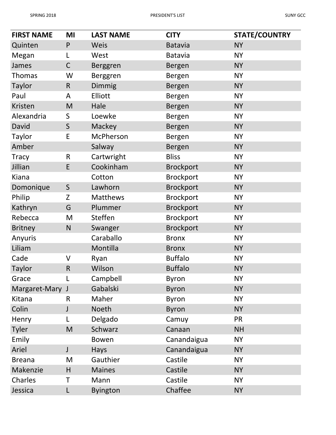| <b>FIRST NAME</b> | MI           | <b>LAST NAME</b> | <b>CITY</b>      | <b>STATE/COUNTRY</b> |
|-------------------|--------------|------------------|------------------|----------------------|
| Quinten           | $\mathsf{P}$ | Weis             | <b>Batavia</b>   | <b>NY</b>            |
| Megan             |              | West             | <b>Batavia</b>   | <b>NY</b>            |
| James             | $\mathsf C$  | Berggren         | Bergen           | <b>NY</b>            |
| <b>Thomas</b>     | W            | Berggren         | <b>Bergen</b>    | <b>NY</b>            |
| <b>Taylor</b>     | $\mathsf{R}$ | Dimmig           | Bergen           | <b>NY</b>            |
| Paul              | A            | Elliott          | <b>Bergen</b>    | <b>NY</b>            |
| Kristen           | M            | Hale             | Bergen           | <b>NY</b>            |
| Alexandria        | S            | Loewke           | Bergen           | <b>NY</b>            |
| David             | $\mathsf S$  | Mackey           | Bergen           | <b>NY</b>            |
| Taylor            | E            | McPherson        | Bergen           | <b>NY</b>            |
| Amber             |              | Salway           | Bergen           | <b>NY</b>            |
| <b>Tracy</b>      | $\mathsf{R}$ | Cartwright       | <b>Bliss</b>     | <b>NY</b>            |
| Jillian           | E            | Cookinham        | <b>Brockport</b> | <b>NY</b>            |
| Kiana             |              | Cotton           | <b>Brockport</b> | <b>NY</b>            |
| Domonique         | $\mathsf S$  | Lawhorn          | <b>Brockport</b> | <b>NY</b>            |
| Philip            | Z            | Matthews         | <b>Brockport</b> | <b>NY</b>            |
| Kathryn           | G            | Plummer          | <b>Brockport</b> | <b>NY</b>            |
| Rebecca           | M            | <b>Steffen</b>   | <b>Brockport</b> | <b>NY</b>            |
| <b>Britney</b>    | N            | Swanger          | <b>Brockport</b> | <b>NY</b>            |
| Anyuris           |              | Caraballo        | <b>Bronx</b>     | <b>NY</b>            |
| Liliam            |              | Montilla         | <b>Bronx</b>     | <b>NY</b>            |
| Cade              | $\vee$       | Ryan             | <b>Buffalo</b>   | <b>NY</b>            |
| Taylor            | $\mathsf R$  | Wilson           | <b>Buffalo</b>   | <b>NY</b>            |
| Grace             |              | Campbell         | <b>Byron</b>     | <b>NY</b>            |
| Margaret-Mary J   |              | Gabalski         | <b>Byron</b>     | <b>NY</b>            |
| Kitana            | R            | Maher            | <b>Byron</b>     | <b>NY</b>            |
| Colin             | J            | <b>Noeth</b>     | <b>Byron</b>     | <b>NY</b>            |
| Henry             |              | Delgado          | Camuy            | <b>PR</b>            |
| Tyler             | M            | Schwarz          | Canaan           | <b>NH</b>            |
| Emily             |              | Bowen            | Canandaigua      | <b>NY</b>            |
| Ariel             | J            | Hays             | Canandaigua      | <b>NY</b>            |
| <b>Breana</b>     | M            | Gauthier         | Castile          | <b>NY</b>            |
| Makenzie          | H            | <b>Maines</b>    | Castile          | <b>NY</b>            |
| Charles           | Τ            | Mann             | Castile          | <b>NY</b>            |
| Jessica           | L            | <b>Byington</b>  | Chaffee          | <b>NY</b>            |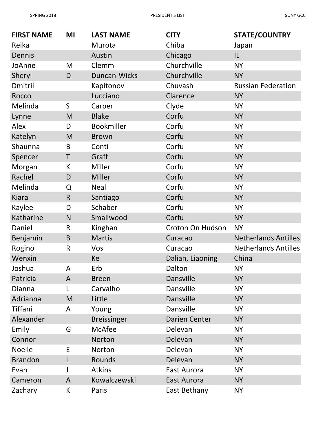| <b>FIRST NAME</b> | MI           | <b>LAST NAME</b>   | <b>CITY</b>          | <b>STATE/COUNTRY</b>        |
|-------------------|--------------|--------------------|----------------------|-----------------------------|
| Reika             |              | Murota             | Chiba                | Japan                       |
| Dennis            |              | Austin             | Chicago              | IL                          |
| JoAnne            | M            | Clemm              | Churchville          | <b>NY</b>                   |
| Sheryl            | D            | Duncan-Wicks       | Churchville          | <b>NY</b>                   |
| Dmitrii           |              | Kapitonov          | Chuvash              | <b>Russian Federation</b>   |
| Rocco             |              | Lucciano           | Clarence             | <b>NY</b>                   |
| Melinda           | $\mathsf S$  | Carper             | Clyde                | <b>NY</b>                   |
| Lynne             | M            | <b>Blake</b>       | Corfu                | <b>NY</b>                   |
| Alex              | D            | <b>Bookmiller</b>  | Corfu                | <b>NY</b>                   |
| Katelyn           | M            | <b>Brown</b>       | Corfu                | <b>NY</b>                   |
| Shaunna           | B            | Conti              | Corfu                | <b>NY</b>                   |
| Spencer           | T            | Graff              | Corfu                | <b>NY</b>                   |
| Morgan            | K            | Miller             | Corfu                | <b>NY</b>                   |
| Rachel            | D            | Miller             | Corfu                | <b>NY</b>                   |
| Melinda           | Q            | <b>Neal</b>        | Corfu                | <b>NY</b>                   |
| <b>Kiara</b>      | $\mathsf{R}$ | Santiago           | Corfu                | <b>NY</b>                   |
| Kaylee            | D            | Schaber            | Corfu                | <b>NY</b>                   |
| Katharine         | N            | Smallwood          | Corfu                | <b>NY</b>                   |
| Daniel            | $\mathsf{R}$ | Kinghan            | Croton On Hudson     | <b>NY</b>                   |
| Benjamin          | B            | <b>Martis</b>      | Curacao              | <b>Netherlands Antilles</b> |
| Rogino            | $\mathsf{R}$ | Vos                | Curacao              | <b>Netherlands Antilles</b> |
| Wenxin            |              | Ke                 | Dalian, Liaoning     | China                       |
| Joshua            | A            | Erb                | Dalton               | <b>NY</b>                   |
| Patricia          | A            | <b>Breen</b>       | Dansville            | <b>NY</b>                   |
| <b>Dianna</b>     |              | Carvalho           | Dansville            | <b>NY</b>                   |
| Adrianna          | M            | Little             | Dansville            | <b>NY</b>                   |
| Tiffani           | A            | Young              | <b>Dansville</b>     | <b>NY</b>                   |
| Alexander         |              | <b>Breissinger</b> | <b>Darien Center</b> | <b>NY</b>                   |
| Emily             | G            | McAfee             | Delevan              | <b>NY</b>                   |
| Connor            |              | Norton             | Delevan              | <b>NY</b>                   |
| <b>Noelle</b>     | E            | Norton             | Delevan              | <b>NY</b>                   |
| <b>Brandon</b>    | L            | Rounds             | Delevan              | <b>NY</b>                   |
| Evan              | J            | <b>Atkins</b>      | East Aurora          | <b>NY</b>                   |
| Cameron           | $\mathsf{A}$ | Kowalczewski       | East Aurora          | <b>NY</b>                   |
| Zachary           | K            | Paris              | East Bethany         | <b>NY</b>                   |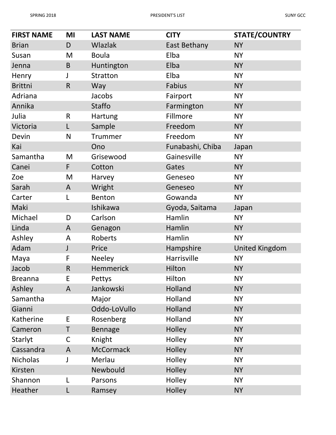| <b>FIRST NAME</b> | MI           | <b>LAST NAME</b> | <b>CITY</b>      | <b>STATE/COUNTRY</b>  |
|-------------------|--------------|------------------|------------------|-----------------------|
| <b>Brian</b>      | D            | <b>Wlazlak</b>   | East Bethany     | <b>NY</b>             |
| Susan             | M            | <b>Boula</b>     | Elba             | <b>NY</b>             |
| Jenna             | $\mathsf B$  | Huntington       | Elba             | <b>NY</b>             |
| Henry             | J            | <b>Stratton</b>  | Elba             | <b>NY</b>             |
| <b>Brittni</b>    | $\mathsf{R}$ | Way              | Fabius           | <b>NY</b>             |
| Adriana           |              | Jacobs           | Fairport         | <b>NY</b>             |
| Annika            |              | <b>Staffo</b>    | Farmington       | <b>NY</b>             |
| Julia             | $\mathsf R$  | Hartung          | Fillmore         | <b>NY</b>             |
| Victoria          | $\mathsf{L}$ | Sample           | Freedom          | <b>NY</b>             |
| Devin             | $\mathsf{N}$ | <b>Trummer</b>   | Freedom          | <b>NY</b>             |
| Kai               |              | Ono              | Funabashi, Chiba | Japan                 |
| Samantha          | M            | Grisewood        | Gainesville      | <b>NY</b>             |
| Canei             | F            | Cotton           | Gates            | <b>NY</b>             |
| Zoe               | M            | Harvey           | Geneseo          | <b>NY</b>             |
| Sarah             | A            | Wright           | Geneseo          | <b>NY</b>             |
| Carter            | L            | Benton           | Gowanda          | <b>NY</b>             |
| Maki              |              | Ishikawa         | Gyoda, Saitama   | Japan                 |
| Michael           | D            | Carlson          | Hamlin           | <b>NY</b>             |
| Linda             | A            | Genagon          | Hamlin           | <b>NY</b>             |
| Ashley            | A            | Roberts          | Hamlin           | <b>NY</b>             |
| Adam              | J            | Price            | Hampshire        | <b>United Kingdom</b> |
| Maya              | F            | <b>Neeley</b>    | Harrisville      | <b>NY</b>             |
| Jacob             | $\mathsf{R}$ | Hemmerick        | Hilton           | <b>NY</b>             |
| <b>Breanna</b>    | E            | Pettys           | Hilton           | <b>NY</b>             |
| Ashley            | $\mathsf{A}$ | Jankowski        | Holland          | <b>NY</b>             |
| Samantha          |              | Major            | Holland          | <b>NY</b>             |
| Gianni            |              | Oddo-LoVullo     | <b>Holland</b>   | <b>NY</b>             |
| Katherine         | E            | Rosenberg        | Holland          | <b>NY</b>             |
| Cameron           | Τ            | Bennage          | Holley           | <b>NY</b>             |
| Starlyt           | $\mathsf C$  | Knight           | Holley           | <b>NY</b>             |
| Cassandra         | A            | <b>McCormack</b> | Holley           | <b>NY</b>             |
| <b>Nicholas</b>   | J            | Merlau           | Holley           | <b>NY</b>             |
| Kirsten           |              | Newbould         | Holley           | <b>NY</b>             |
| Shannon           | L            | Parsons          | Holley           | <b>NY</b>             |
| Heather           | L            | Ramsey           | Holley           | <b>NY</b>             |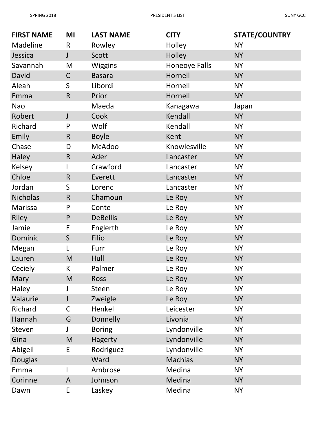| <b>FIRST NAME</b> | MI           | <b>LAST NAME</b> | <b>CITY</b>          | <b>STATE/COUNTRY</b> |
|-------------------|--------------|------------------|----------------------|----------------------|
| Madeline          | $\mathsf{R}$ | Rowley           | Holley               | <b>NY</b>            |
| Jessica           | J            | <b>Scott</b>     | Holley               | <b>NY</b>            |
| Savannah          | M            | <b>Wiggins</b>   | <b>Honeoye Falls</b> | <b>NY</b>            |
| David             | $\mathsf C$  | <b>Basara</b>    | Hornell              | <b>NY</b>            |
| Aleah             | S            | Libordi          | Hornell              | <b>NY</b>            |
| Emma              | $\mathsf{R}$ | Prior            | Hornell              | <b>NY</b>            |
| <b>Nao</b>        |              | Maeda            | Kanagawa             | Japan                |
| Robert            | J            | Cook             | Kendall              | <b>NY</b>            |
| Richard           | P            | Wolf             | Kendall              | <b>NY</b>            |
| Emily             | $\mathsf{R}$ | <b>Boyle</b>     | Kent                 | <b>NY</b>            |
| Chase             | D            | McAdoo           | Knowlesville         | <b>NY</b>            |
| Haley             | $\mathsf{R}$ | Ader             | Lancaster            | <b>NY</b>            |
| Kelsey            | L            | Crawford         | Lancaster            | <b>NY</b>            |
| Chloe             | $\mathsf{R}$ | Everett          | Lancaster            | <b>NY</b>            |
| Jordan            | S            | Lorenc           | Lancaster            | <b>NY</b>            |
| <b>Nicholas</b>   | $\mathsf{R}$ | Chamoun          | Le Roy               | <b>NY</b>            |
| Marissa           | P            | Conte            | Le Roy               | <b>NY</b>            |
| Riley             | $\mathsf{P}$ | <b>DeBellis</b>  | Le Roy               | <b>NY</b>            |
| Jamie             | E            | Englerth         | Le Roy               | <b>NY</b>            |
| Dominic           | S            | Filio            | Le Roy               | <b>NY</b>            |
| Megan             | L            | Furr             | Le Roy               | <b>NY</b>            |
| Lauren            | M            | Hull             | Le Roy               | <b>NY</b>            |
| Ceciely           | K            | Palmer           | Le Roy               | <b>NY</b>            |
| Mary              | M            | <b>Ross</b>      | Le Roy               | <b>NY</b>            |
| Haley             |              | Steen            | Le Roy               | <b>NY</b>            |
| Valaurie          | J            | Zweigle          | Le Roy               | <b>NY</b>            |
| Richard           | $\mathsf C$  | Henkel           | Leicester            | <b>NY</b>            |
| Hannah            | G            | Donnelly         | Livonia              | <b>NY</b>            |
| Steven            | J            | <b>Boring</b>    | Lyndonville          | <b>NY</b>            |
| Gina              | M            | Hagerty          | Lyndonville          | <b>NY</b>            |
| Abigeil           | E            | Rodriguez        | Lyndonville          | <b>NY</b>            |
| <b>Douglas</b>    |              | Ward             | <b>Machias</b>       | <b>NY</b>            |
| Emma              | L            | Ambrose          | Medina               | <b>NY</b>            |
| Corinne           | A            | Johnson          | Medina               | <b>NY</b>            |
| Dawn              | E            | Laskey           | Medina               | <b>NY</b>            |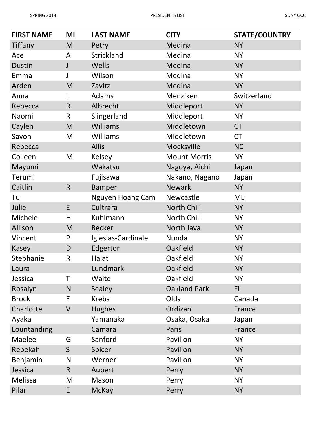| <b>FIRST NAME</b> | MI           | <b>LAST NAME</b>   | <b>CITY</b>         | <b>STATE/COUNTRY</b> |
|-------------------|--------------|--------------------|---------------------|----------------------|
| Tiffany           | M            | Petry              | Medina              | <b>NY</b>            |
| Ace               | A            | <b>Strickland</b>  | Medina              | <b>NY</b>            |
| <b>Dustin</b>     | J            | Wells              | Medina              | <b>NY</b>            |
| Emma              | J            | Wilson             | Medina              | <b>NY</b>            |
| Arden             | M            | Zavitz             | Medina              | <b>NY</b>            |
| Anna              | L            | Adams              | Menziken            | Switzerland          |
| Rebecca           | $\mathsf{R}$ | Albrecht           | Middleport          | <b>NY</b>            |
| Naomi             | $\mathsf R$  | Slingerland        | Middleport          | <b>NY</b>            |
| Caylen            | M            | <b>Williams</b>    | Middletown          | <b>CT</b>            |
| Savon             | M            | Williams           | Middletown          | <b>CT</b>            |
| Rebecca           |              | <b>Allis</b>       | Mocksville          | <b>NC</b>            |
| Colleen           | M            | Kelsey             | <b>Mount Morris</b> | <b>NY</b>            |
| Mayumi            |              | Wakatsu            | Nagoya, Aichi       | Japan                |
| Terumi            |              | Fujisawa           | Nakano, Nagano      | Japan                |
| Caitlin           | $\mathsf{R}$ | <b>Bamper</b>      | <b>Newark</b>       | <b>NY</b>            |
| Tu                |              | Nguyen Hoang Cam   | Newcastle           | <b>ME</b>            |
| Julie             | E            | Cultrara           | North Chili         | <b>NY</b>            |
| Michele           | H            | Kuhlmann           | North Chili         | <b>NY</b>            |
| Allison           | M            | <b>Becker</b>      | North Java          | <b>NY</b>            |
| Vincent           | P            | Iglesias-Cardinale | Nunda               | <b>NY</b>            |
| Kasey             | D            | Edgerton           | Oakfield            | <b>NY</b>            |
| Stephanie         | R            | Halat              | Oakfield            | <b>NY</b>            |
| Laura             |              | Lundmark           | Oakfield            | <b>NY</b>            |
| Jessica           | т            | Waite              | Oakfield            | <b>NY</b>            |
| Rosalyn           | N            | Sealey             | <b>Oakland Park</b> | FL                   |
| <b>Brock</b>      | E            | <b>Krebs</b>       | Olds                | Canada               |
| Charlotte         | $\vee$       | <b>Hughes</b>      | Ordizan             | France               |
| Ayaka             |              | Yamanaka           | Osaka, Osaka        | Japan                |
| Lountanding       |              | Camara             | Paris               | France               |
| Maelee            | G            | Sanford            | Pavilion            | <b>NY</b>            |
| Rebekah           | $\mathsf S$  | Spicer             | Pavilion            | <b>NY</b>            |
| Benjamin          | N            | Werner             | Pavilion            | <b>NY</b>            |
| Jessica           | $\mathsf{R}$ | Aubert             | Perry               | <b>NY</b>            |
| Melissa           | M            | Mason              | Perry               | <b>NY</b>            |
| Pilar             | E            | <b>McKay</b>       | Perry               | <b>NY</b>            |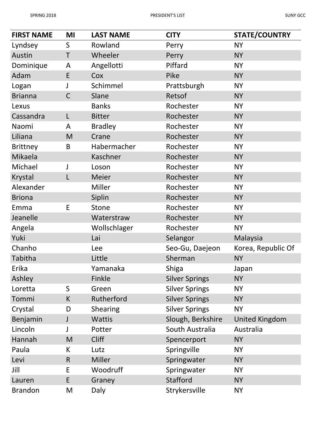| <b>FIRST NAME</b> | MI           | <b>LAST NAME</b> | <b>CITY</b>           | <b>STATE/COUNTRY</b>  |
|-------------------|--------------|------------------|-----------------------|-----------------------|
| Lyndsey           | $\mathsf{S}$ | Rowland          | Perry                 | <b>NY</b>             |
| Austin            | T            | Wheeler          | Perry                 | <b>NY</b>             |
| Dominique         | A            | Angellotti       | Piffard               | <b>NY</b>             |
| Adam              | E            | Cox              | Pike                  | <b>NY</b>             |
| Logan             | J            | Schimmel         | Prattsburgh           | <b>NY</b>             |
| <b>Brianna</b>    | $\mathsf{C}$ | Slane            | Retsof                | <b>NY</b>             |
| Lexus             |              | <b>Banks</b>     | Rochester             | <b>NY</b>             |
| Cassandra         | L            | <b>Bitter</b>    | Rochester             | <b>NY</b>             |
| Naomi             | A            | <b>Bradley</b>   | Rochester             | <b>NY</b>             |
| Liliana           | M            | Crane            | Rochester             | <b>NY</b>             |
| <b>Brittney</b>   | B            | Habermacher      | Rochester             | <b>NY</b>             |
| Mikaela           |              | Kaschner         | Rochester             | <b>NY</b>             |
| Michael           | J            | Loson            | Rochester             | <b>NY</b>             |
| Krystal           |              | <b>Meier</b>     | Rochester             | <b>NY</b>             |
| Alexander         |              | Miller           | Rochester             | <b>NY</b>             |
| <b>Briona</b>     |              | Siplin           | Rochester             | <b>NY</b>             |
| Emma              | E            | Stone            | Rochester             | <b>NY</b>             |
| Jeanelle          |              | Waterstraw       | Rochester             | <b>NY</b>             |
| Angela            |              | Wollschlager     | Rochester             | <b>NY</b>             |
| Yuki              |              | Lai              | Selangor              | Malaysia              |
| Chanho            |              | Lee              | Seo-Gu, Daejeon       | Korea, Republic Of    |
| Tabitha           |              | Little           | Sherman               | <b>NY</b>             |
| Erika             |              | Yamanaka         | <b>Shiga</b>          | Japan                 |
| Ashley            |              | Finkle           | <b>Silver Springs</b> | <b>NY</b>             |
| Loretta           | $\mathsf S$  | Green            | <b>Silver Springs</b> | <b>NY</b>             |
| Tommi             | K            | Rutherford       | <b>Silver Springs</b> | <b>NY</b>             |
| Crystal           | D            | Shearing         | <b>Silver Springs</b> | <b>NY</b>             |
| Benjamin          | J            | <b>Wattis</b>    | Slough, Berkshire     | <b>United Kingdom</b> |
| Lincoln           | J            | Potter           | South Australia       | Australia             |
| Hannah            | M            | <b>Cliff</b>     | Spencerport           | <b>NY</b>             |
| Paula             | K            | Lutz             | Springville           | <b>NY</b>             |
| Levi              | $\mathsf{R}$ | Miller           | Springwater           | <b>NY</b>             |
| Jill              | E            | Woodruff         | Springwater           | <b>NY</b>             |
| Lauren            | E            | Graney           | <b>Stafford</b>       | <b>NY</b>             |
| <b>Brandon</b>    | M            | Daly             | Strykersville         | <b>NY</b>             |